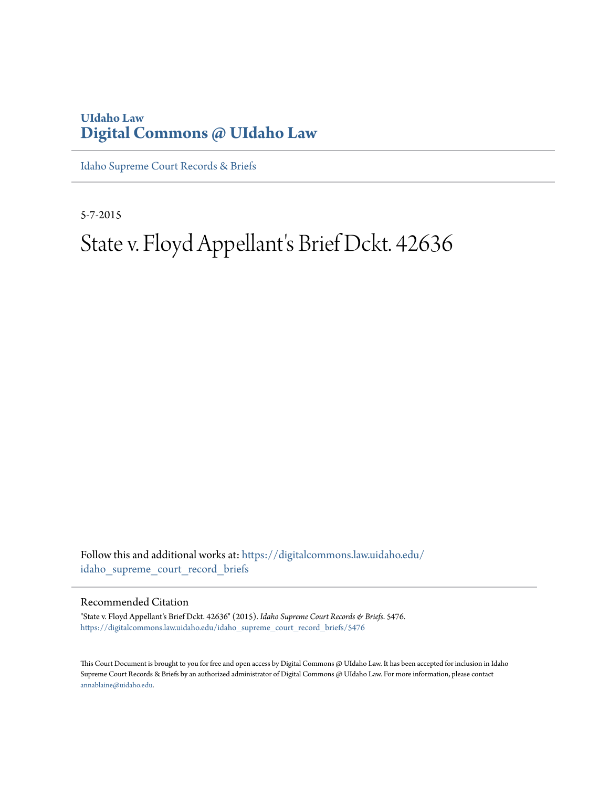# **UIdaho Law [Digital Commons @ UIdaho Law](https://digitalcommons.law.uidaho.edu?utm_source=digitalcommons.law.uidaho.edu%2Fidaho_supreme_court_record_briefs%2F5476&utm_medium=PDF&utm_campaign=PDFCoverPages)**

[Idaho Supreme Court Records & Briefs](https://digitalcommons.law.uidaho.edu/idaho_supreme_court_record_briefs?utm_source=digitalcommons.law.uidaho.edu%2Fidaho_supreme_court_record_briefs%2F5476&utm_medium=PDF&utm_campaign=PDFCoverPages)

5-7-2015

# State v. Floyd Appellant's Brief Dckt. 42636

Follow this and additional works at: [https://digitalcommons.law.uidaho.edu/](https://digitalcommons.law.uidaho.edu/idaho_supreme_court_record_briefs?utm_source=digitalcommons.law.uidaho.edu%2Fidaho_supreme_court_record_briefs%2F5476&utm_medium=PDF&utm_campaign=PDFCoverPages) [idaho\\_supreme\\_court\\_record\\_briefs](https://digitalcommons.law.uidaho.edu/idaho_supreme_court_record_briefs?utm_source=digitalcommons.law.uidaho.edu%2Fidaho_supreme_court_record_briefs%2F5476&utm_medium=PDF&utm_campaign=PDFCoverPages)

#### Recommended Citation

"State v. Floyd Appellant's Brief Dckt. 42636" (2015). *Idaho Supreme Court Records & Briefs*. 5476. [https://digitalcommons.law.uidaho.edu/idaho\\_supreme\\_court\\_record\\_briefs/5476](https://digitalcommons.law.uidaho.edu/idaho_supreme_court_record_briefs/5476?utm_source=digitalcommons.law.uidaho.edu%2Fidaho_supreme_court_record_briefs%2F5476&utm_medium=PDF&utm_campaign=PDFCoverPages)

This Court Document is brought to you for free and open access by Digital Commons @ UIdaho Law. It has been accepted for inclusion in Idaho Supreme Court Records & Briefs by an authorized administrator of Digital Commons @ UIdaho Law. For more information, please contact [annablaine@uidaho.edu](mailto:annablaine@uidaho.edu).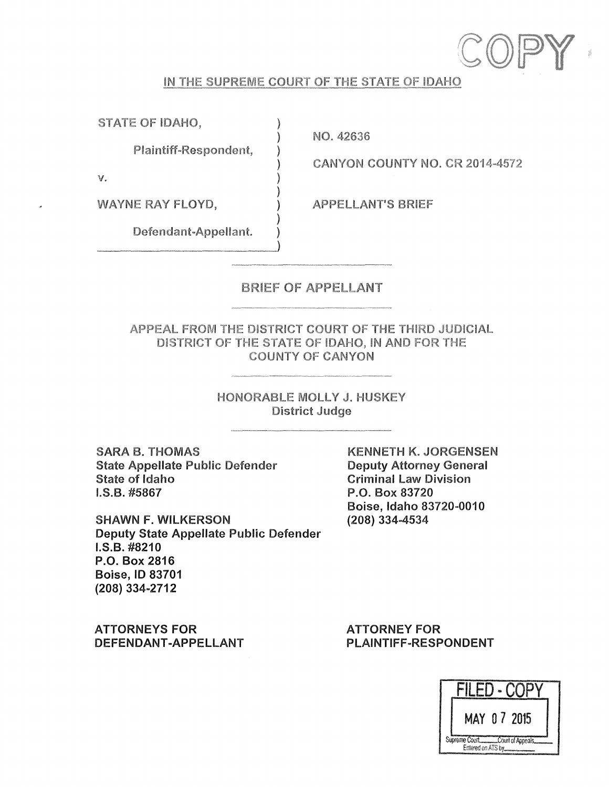

#### IN THE SUPREME COURT OF THE STATE OF IDAHO

)

)

)

)

STATE OF IDAHO,

Plaintiff-Respondent, )

NO. 42636

CANYON COUNTY NO. CR 2014-4572

V. )

WAYNE RAY FLOYD,

APPELLANT'S BRIEF

Defendant-Appellant.

#### BRIEF OF APPELLANT

APPEAL FROM THE DISTRICT COURT OF THE THIRD JUDICIAL DISTRICT OF THE STATE OF IDAHO, **IN AND** FOR THE COUNTY OF **CANYON** 

> HONORABLE MOLLY J. HUSKEY District Judge

SARA 8. THOMAS State Appellate Public Defender State of Idaho I.S.B. #5867

SHAWN F. WILKERSON Deputy State Appellate Public Defender I.S.B. #8210 P.O. Box 2816 Boise, ID 83701 (208) 334-2712

**ATTORNEYS FOR DEFENDANT-APPELLANT**  KENNETH **K. JORGENSEN**  Deputy Attorney General Criminal law Division P.O. Box 83720 Boise, Idaho 83720-0010 **(208)** 334m4534

**ATTORNEY FOR PLAINTIFF-RESPONDENT** 

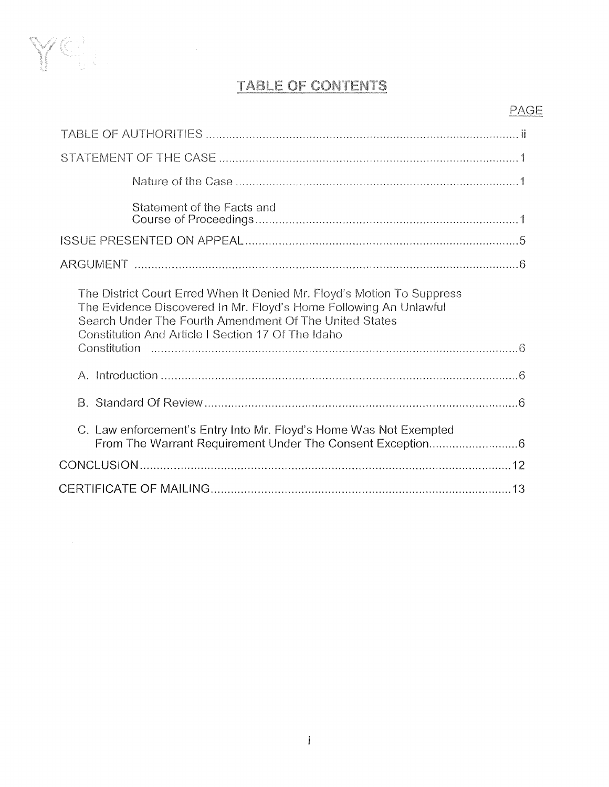

# **TABLE OF CONTENTS**

# PAGE

| Statement of the Facts and                                                                                                                                                                                                                                  |
|-------------------------------------------------------------------------------------------------------------------------------------------------------------------------------------------------------------------------------------------------------------|
|                                                                                                                                                                                                                                                             |
|                                                                                                                                                                                                                                                             |
| The District Court Erred When It Denied Mr. Floyd's Motion To Suppress<br>The Evidence Discovered In Mr. Floyd's Home Following An Unlawful<br>Search Under The Fourth Amendment Of The United States<br>Constitution And Article I Section 17 Of The Idaho |
|                                                                                                                                                                                                                                                             |
|                                                                                                                                                                                                                                                             |
| C. Law enforcement's Entry Into Mr. Floyd's Home Was Not Exempted                                                                                                                                                                                           |
|                                                                                                                                                                                                                                                             |
|                                                                                                                                                                                                                                                             |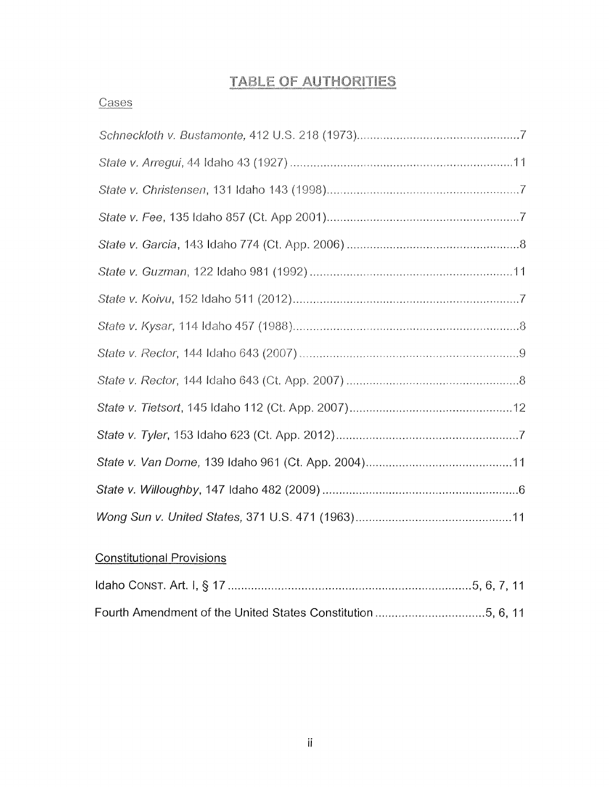# **TABLE OF AUTHORITIES**

# **Cases**

# Constitutional Provisions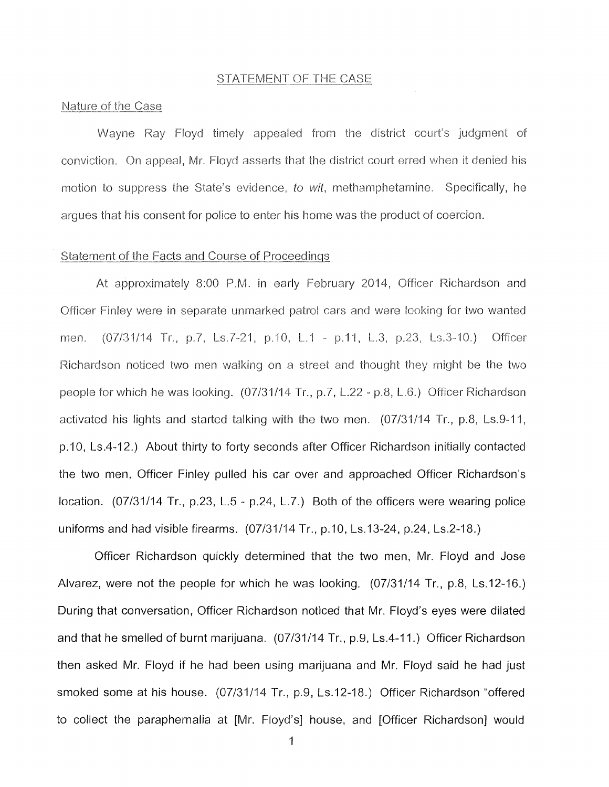#### STATEMENT OF THE CASE

#### Nature of the Case

Wayne Ray Floyd timely appealed from the district court's judgment of conviction. On appeal, Mr. Floyd asserts that the district court erred when it denied his motion to suppress the State's evidence, *to* wit, methamphetamine. Specifically, he argues that his consent for police to enter his home was the product of coercion.

#### Statement of the Facts and Course of Proceedings

At approximately 8:00 P.M. in early February 2014, Officer Richardson and Officer Finley were in separate unmarked patrol cars and were looking for two wanted men. (07/31/14 Tr., p.7, Ls.7-21, p.10, L.1 - p.11, L.3, p.23, Ls.3-10.) Officer Richardson noticed two men walking on a street and thought they might be the two people for which he was looking. (07/31/14 Tr., p.7, L.22 - p.8, L.6.) Officer Richardson activated his lights and started talking with the two men. (07/31/14 Tr., p.8, Ls.9-11, p.10, Ls.4-12.) About thirty to forty seconds after Officer Richardson initially contacted the two men, Officer Finley pulled his car over and approached Officer Richardson's location. (07/31/14 Tr., p.23, L.5 - p.24, L.7.) Both of the officers were wearing police uniforms and had visible firearms. (07/31/14 Tr., p.10, Ls.13-24, p.24, Ls.2-18.)

Officer Richardson quickly determined that the two men, Mr. Floyd and Jose Alvarez, were not the people for which he was looking. (07/31/14 Tr., p.8, Ls.12-16.) During that conversation, Officer Richardson noticed that Mr. Floyd's eyes were dilated and that he smelled of burnt marijuana. (07/31/14 Tr., p.9, Ls.4-11.) Officer Richardson then asked Mr. Floyd if he had been using marijuana and Mr. Floyd said he had just smoked some at his house. (07/31/14 Tr., p.9, Ls.12-18.) Officer Richardson "offered to collect the paraphernalia at [Mr. Floyd's] house, and [Officer Richardson] would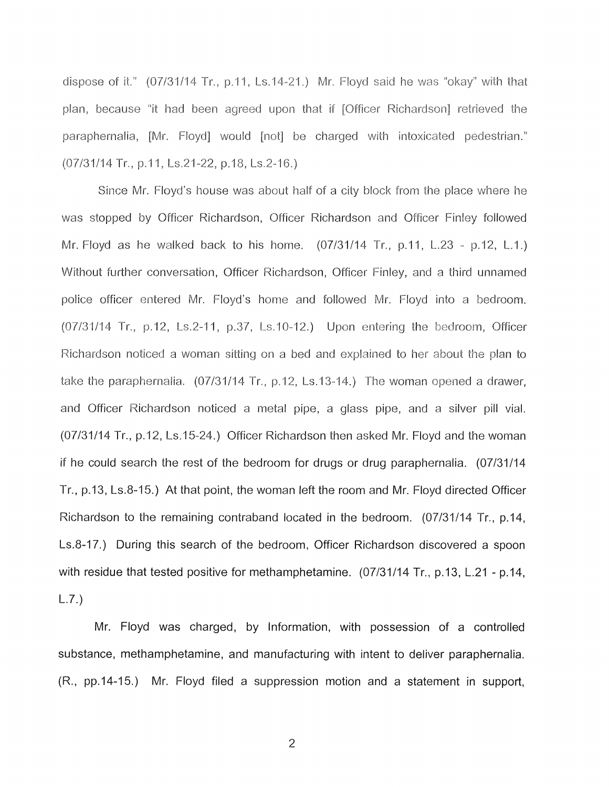dispose of it."  $(07/31/14$  Tr., p.11, Ls.14-21.) Mr. Floyd said he was "okay" with that plan, because "it had been agreed upon that if [Officer Richardson] retrieved the paraphernalia, [Mr. Floyd] would [not] be charged with intoxicated pedestrian." (07/31/14 Tr., p.11, Ls.21-22, p.18, Ls.2-16.)

Since Mr. Floyd's house was about half of a city block from the place where he was stopped by Officer Richardson, Officer Richardson and Officer Finley followed Mr. Floyd as he walked back to his home. (07/31/14 Tr., p.11, L.23 - p.12, L.1.) Without further conversation, Officer Richardson, Officer Finley, and a third unnamed police officer entered Mr. Floyd's home and followed Mr. Floyd into a bedroom. (07/31/14 Tr., p.12, Ls.2-11, p.37, Ls.10-12.) Upon entering the bedroom, Officer Richardson noticed a woman sitting on a bed and explained to her about the plan to take the paraphernalia. (07/31/14 Tr., p.12, Ls.13-14.) The woman opened a drawer, and Officer Richardson noticed a metal pipe, a glass pipe, and a silver pill vial. (07/31/14 Tr., p.12, Ls.15-24.) Officer Richardson then asked Mr. Floyd and the woman if he could search the rest of the bedroom for drugs or drug paraphernalia. (07/31/14 Tr., p.13, Ls.8-15.) At that point, the woman left the room and Mr. Floyd directed Officer Richardson to the remaining contraband located in the bedroom. (07/31/14 Tr., p.14, Ls.8-17.) During this search of the bedroom, Officer Richardson discovered a spoon with residue that tested positive for methamphetamine. (07/31/14 Tr., p.13, L.21 - p.14, L.7.)

Mr. Floyd was charged, by Information, with possession of a controlled substance, methamphetamine, and manufacturing with intent to deliver paraphernalia. (R., pp.14-15.) Mr. Floyd filed a suppression motion and a statement in support,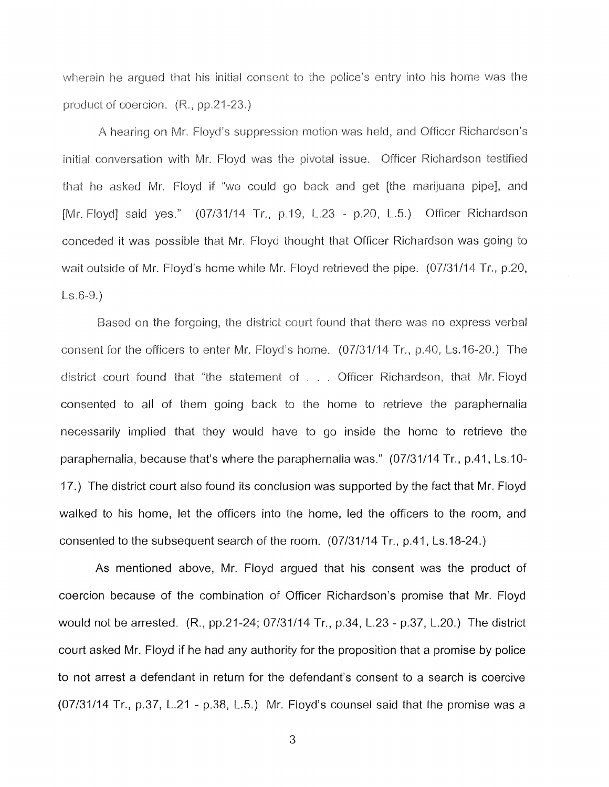wherein he argued that his initial consent to the police's entry into his home was the product of coercion. (R., pp.21-23.)

A hearing on Mr. Floyd's suppression motion was held, and Officer Richardson's initial conversation with Mr. Floyd was the pivotal issue. Officer Richardson testified that he asked Mr. Floyd if "we could go back and get [the marijuana pipe], and [Mr. Floyd] said yes." (07/31/14 Tr., p.19, L.23 - p.20, L.5.) Officer Richardson conceded it was possible that Mr. Floyd thought that Officer Richardson was going to wait outside of Mr. Floyd's home while Mr. Floyd retrieved the pipe. (07/31/14 Tr., p.20, Ls.6-9.)

Based on the forgoing, the district court found that there was no express verbal consent for the officers to enter Mr. Floyd's home. (07/31/14 Tr., p.40, Ls.16-20.) The district court found that "the statement of . . Officer Richardson, that Mr. Floyd consented to all of them going back to the home to retrieve the paraphernalia necessarily implied that they would have to go inside the home to retrieve the paraphernalia, because that's where the paraphernalia was." (07/31/14 Tr., p.41, Ls.10- 17.) The district court also found its conclusion was supported by the fact that Mr. Floyd walked to his home, let the officers into the home, led the officers to the room, and consented to the subsequent search of the room. (07/31/14 Tr., p.41, Ls.18-24.)

As mentioned above, Mr. Floyd argued that his consent was the product of coercion because of the combination of Officer Richardson's promise that Mr. Floyd would not be arrested. (R., pp.21-24; 07/31/14 Tr., p.34, L.23 - p.37, L.20.) The district court asked Mr. Floyd if he had any authority for the proposition that a promise by police to not arrest a defendant in return for the defendant's consent to a search is coercive (07/31/14 Tr., p.37, L.21 - p.38, L.5.) Mr. Floyd's counsel said that the promise was a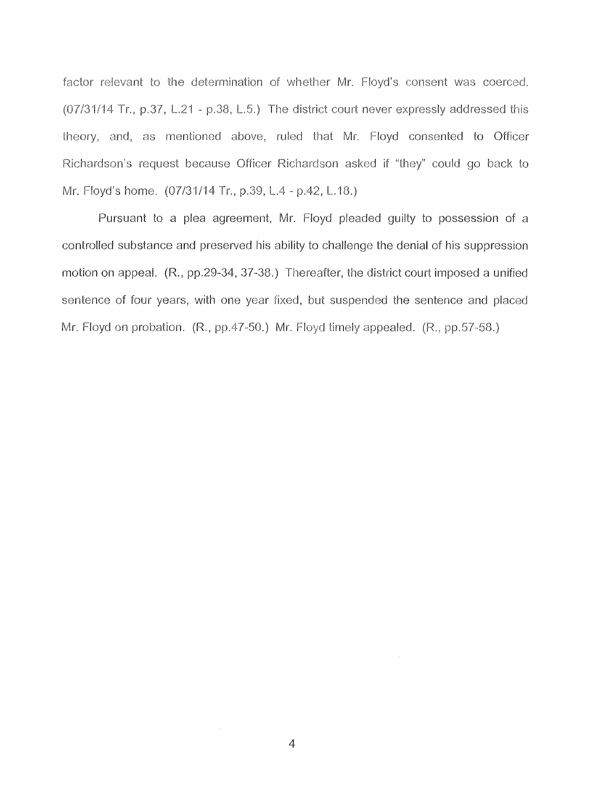factor relevant to the determination of whether **Mr.** Floyd's consent was coerced. (07/31/14 Tr., p.37, L.21 - p.38, L.5.) The district court never expressly addressed this theory, and, as mentioned above, ruled that **Mr.** Floyd consented to Officer Richardson's request because Officer Richardson asked if "they" could go back to Mr. Floyd's home. (07/31/14 Tr., p.39, L.4 - p.42, L.18.)

Pursuant to a plea agreement, Mr. Floyd pleaded guilty to possession of a controlled substance and preserved his ability to challenge the denial of his suppression motion on appeal. (R., pp.29-34, 37-38.) Thereafter, the district court imposed a unified sentence of four years, with one year fixed, but suspended the sentence and placed Mr. Floyd on probation. (R., pp.47-50.) Mr. Floyd timely appealed. (R., pp.57-58.)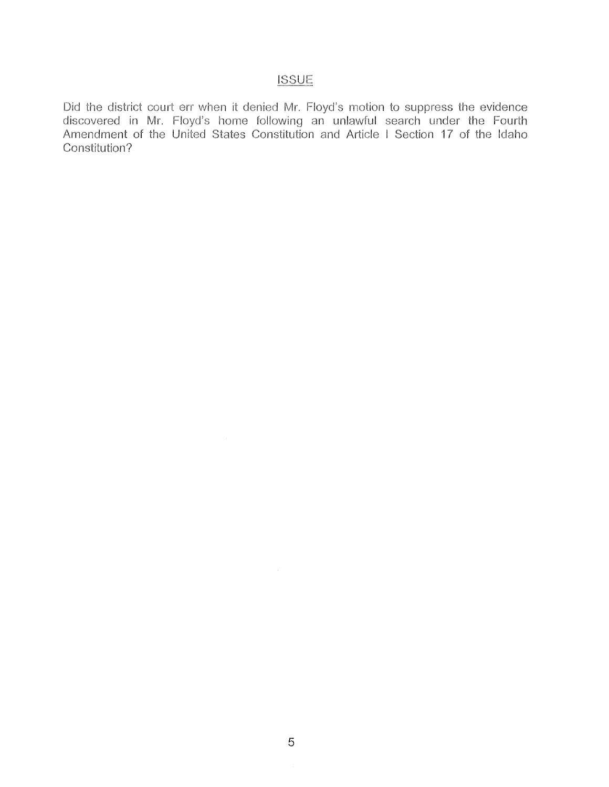### **ISSUE**

Did the district court err when it denied Mr. Floyd's motion to suppress the evidence discovered in Mr. Floyd's home following an unlawful search under the Fourth Amendment of the United States Constitution and Article I Section 17 of the Idaho Constitution?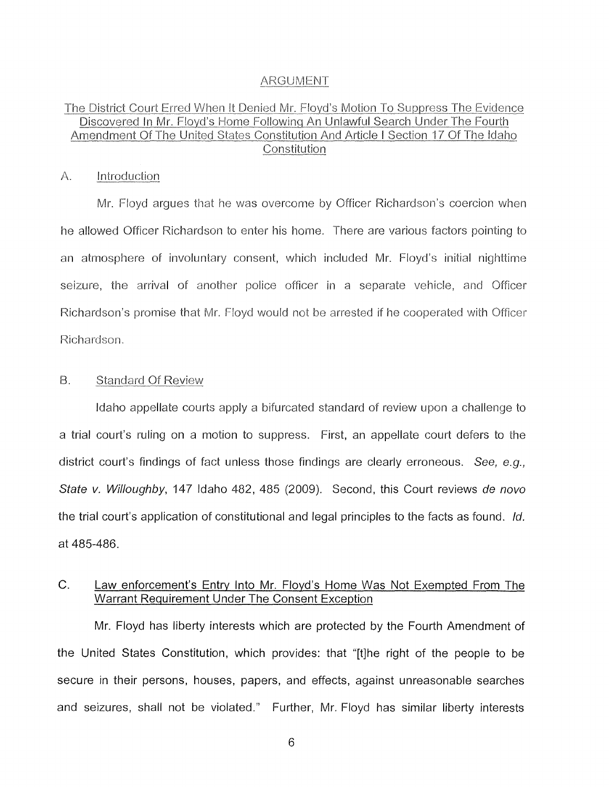#### ARGUMENT

#### The District Court Erred When It Denied Mr. Floyd's Motion To Suppress The Evidence Discovered In Mr. Floyd's Home Following An Unlawful Search Under The Fourth Amendment Of The United States Constitution And Article I Section 17 Of The Idaho **Constitution**

#### A. Introduction

Mr. Floyd argues that he was overcome by Officer Richardson's coercion when he allowed Officer Richardson to enter his home. There are various factors pointing to an atmosphere of involuntary consent, which included Mr. Floyd's initial nighttime seizure, the arrival of another police officer in a separate vehicle, and Officer Richardson's promise that Mr. Floyd would not be arrested if he cooperated with Officer Richardson.

#### 8. Standard Of Review

Idaho appellate courts apply a bifurcated standard of review upon a challenge to a trial court's ruling on a motion to suppress. First, an appellate court defers to the district court's findings of fact unless those findings are clearly erroneous. See, e.g., State v. Willoughby, 147 Idaho 482, 485 (2009). Second, this Court reviews de novo the trial court's application of constitutional and legal principles to the facts as found. Id. at 485-486.

#### C. Law enforcement's Entry Into Mr. Floyd's Home Was Not Exempted From The Warrant Requirement Under The Consent Exception

Mr. Floyd has liberty interests which are protected by the Fourth Amendment of the United States Constitution, which provides: that "[t]he right of the people to be secure in their persons, houses, papers, and effects, against unreasonable searches and seizures, shall not be violated." Further, Mr. Floyd has similar liberty interests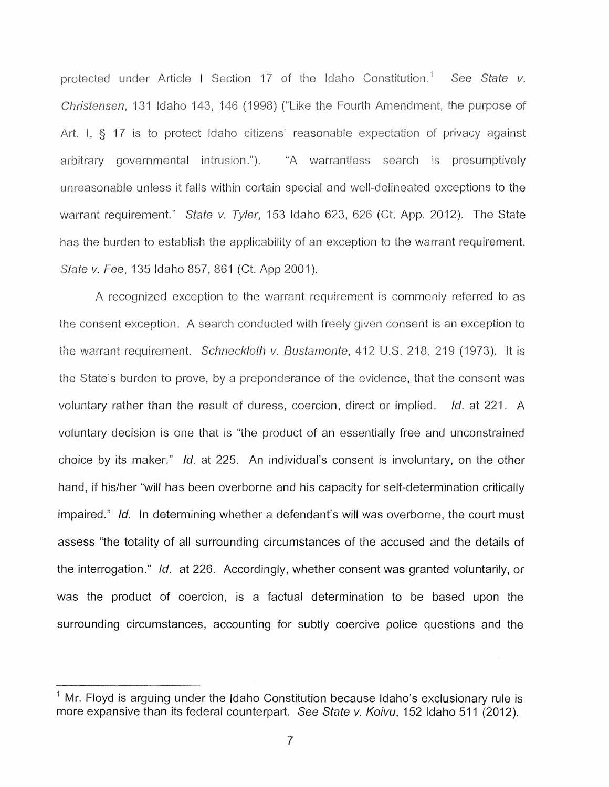protected under Article I Section 17 of the Idaho Constitution.<sup>1</sup> See State v. Christensen, 131 Idaho 143, 146 (1998) ("Like the Fourth Amendment, the purpose of Art. I, § 17 is to protect Idaho citizens' reasonable expectation of privacy against arbitrary governmental intrusion."). "A warrantless search is presumptively unreasonable unless it falls within certain special and well-delineated exceptions to the warrant requirement." State v. Tyler, 153 Idaho 623, 626 (Ct. App. 2012). The State has the burden to establish the applicability of an exception to the warrant requirement. State v. Fee, 135 Idaho 857, 861 (Ct. App 2001).

A recognized exception to the warrant requirement is commonly referred to as the consent exception. A search conducted with freely given consent is an exception to the warrant requirement. Schneckloth v. Bustamonte, 412 U.S. 218, 219 (1973). It is the State's burden to prove, by a preponderance of the evidence, that the consent was voluntary rather than the result of duress, coercion, direct or implied. Id. at 221. A voluntary decision is one that is "the product of an essentially free and unconstrained choice by its maker." Id. at 225. An individual's consent is involuntary, on the other hand, if his/her "will has been overborne and his capacity for self-determination critically impaired." Id. In determining whether a defendant's will was overborne, the court must assess "the totality of all surrounding circumstances of the accused and the details of the interrogation." Id. at 226. Accordingly, whether consent was granted voluntarily, or was the product of coercion, is a factual determination to be based upon the surrounding circumstances, accounting for subtly coercive police questions and the

 $<sup>1</sup>$  Mr. Floyd is arguing under the Idaho Constitution because Idaho's exclusionary rule is</sup> more expansive than its federal counterpart. See State v. Koivu, 152 Idaho 511 (2012).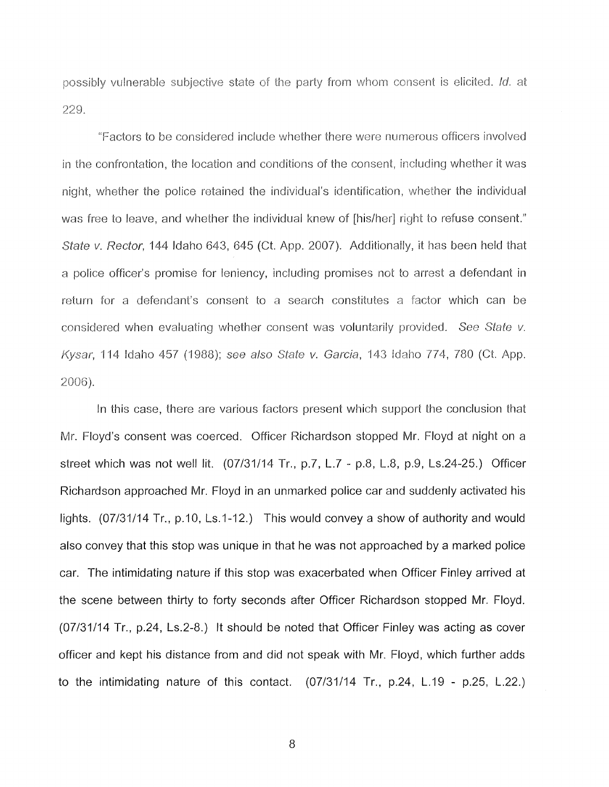possibly vulnerable subjective state of the party from whom consent is elicited. Id. at 229.

"Factors to be considered include whether there were numerous officers involved in the confrontation, the location and conditions of the consent, including whether it was night, whether the police retained the individual's identification, whether the individual was free to leave, and whether the individual knew of [his/her] right to refuse consent." State v. Rector, 144 Idaho 643, 645 (Ct. App. 2007). Additionally, it has been held that a police officer's promise for leniency, including promises not to arrest a defendant in return for a defendant's consent to a search constitutes a factor which can be considered when evaluating whether consent was voluntarily provided. See State v. Kysar, 114 Idaho 457 (1988); see also State v. Garcia, 143 Idaho 774, 780 (Ct. App. 2006).

In this case, there are various factors present which support the conclusion that Mr. Floyd's consent was coerced. Officer Richardson stopped Mr. Floyd at night on a street which was not well lit. (07/31/14 Tr., p.7, L.7 - p.8, L.8, p.9, Ls.24-25.) Officer Richardson approached Mr. Floyd in an unmarked police car and suddenly activated his lights. (07/31/14 Tr., p.10, Ls.1-12.) This would convey a show of authority and would also convey that this stop was unique in that he was not approached by a marked police car. The intimidating nature if this stop was exacerbated when Officer Finley arrived at the scene between thirty to forty seconds after Officer Richardson stopped Mr. Floyd. (07/31/14 Tr., p.24, Ls.2-8.) It should be noted that Officer Finley was acting as cover officer and kept his distance from and did not speak with Mr. Floyd, which further adds to the intimidating nature of this contact. (07/31/14 Tr., p.24, L.19 - p.25, L.22.)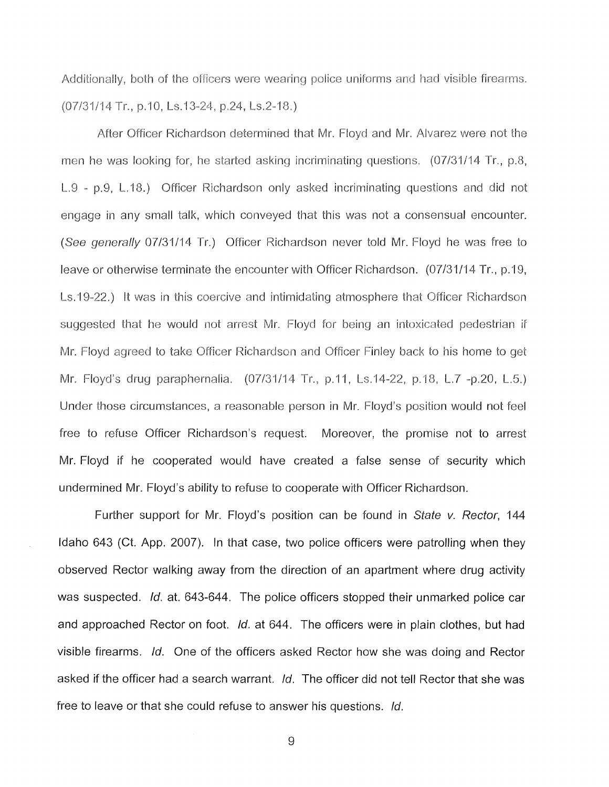Additionally, both of the officers were wearing police uniforms and had visible firearms. (07/31/14 Tr., p.10, Ls.13-24, p.24, Ls.2-18.)

After Officer Richardson determined that Mr. Floyd and **Mr.** Alvarez were not the men he was looking for, he started asking incriminating questions. (07/31/14 Tr., p.8, L.9 - p.9, L.18.) Officer Richardson only asked incriminating questions and did not engage in any small talk, which conveyed that this was not a consensual encounter. (See generally 07/31/14 Tr.) Officer Richardson never told Mr. Floyd he was free to leave or otherwise terminate the encounter with Officer Richardson. (07/31/14 Tr., p.19, Ls. 19-22.) It was in this coercive and intimidating atmosphere that Officer Richardson suggested that he would not arrest Mr. Floyd for being an intoxicated pedestrian if Mr. Floyd agreed to take Officer Richardson and Officer Finley back to his home to get Mr. Floyd's drug paraphernalia. (07/31/14 Tr., p.11, Ls.14-22, p.18, L.7 -p.20, L.5.) Under those circumstances, a reasonable person in Mr. Floyd's position would not feel free to refuse Officer Richardson's request. Moreover, the promise not to arrest Mr. Floyd if he cooperated would have created a false sense of security which undermined Mr. Floyd's ability to refuse to cooperate with Officer Richardson.

Further support for Mr. Floyd's position can be found in State v. Rector, 144 Idaho 643 (Ct. App. 2007). In that case, two police officers were patrolling when they observed Rector walking away from the direction of an apartment where drug activity was suspected. Id. at. 643-644. The police officers stopped their unmarked police car and approached Rector on foot. Id. at 644. The officers were in plain clothes, but had visible firearms. Id. One of the officers asked Rector how she was doing and Rector asked if the officer had a search warrant. Id. The officer did not tell Rector that she was free to leave or that she could refuse to answer his questions. Id.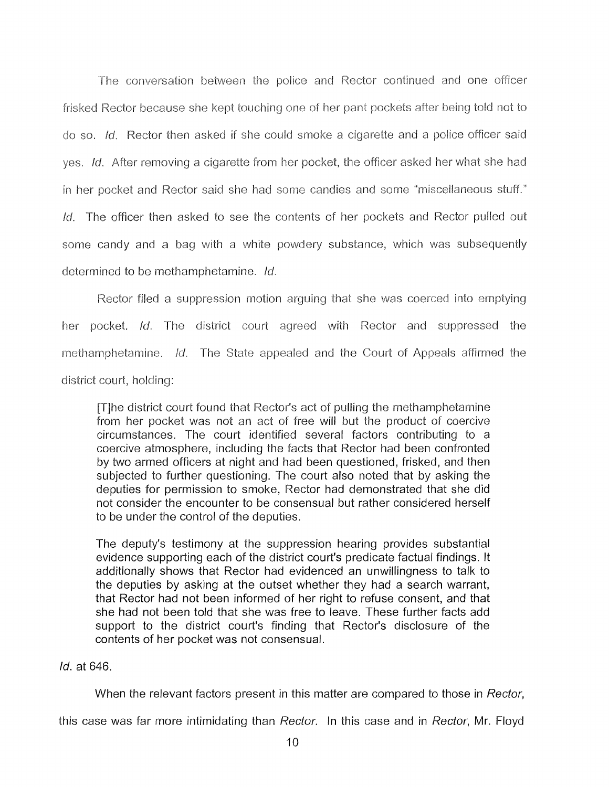The conversation between the police and Rector continued and one officer frisked Rector because she kept touching one of her pant pockets after being told not to do so. Id. Rector then asked if she could smoke a cigarette and a police officer said yes. Id. After removing a cigarette from her pocket, the officer asked her what she had in her pocket and Rector said she had some candies and some "miscellaneous stuff." Id. The officer then asked to see the contents of her pockets and Rector pulled out some candy and a bag with a white powdery substance, which was subsequently determined to be methamphetamine. Id.

Rector filed a suppression motion arguing that she was coerced into emptying her pocket. Id. The district court agreed with Rector and suppressed the methamphetamine. Id. The State appealed and the Court of Appeals affirmed the district court, holding:

[T]he district court found that Rector's act of pulling the methamphetamine from her pocket was not an act of free will but the product of coercive circumstances. The court identified several factors contributing to a coercive atmosphere, including the facts that Rector had been confronted by two armed officers at night and had been questioned, frisked, and then subjected to further questioning. The court also noted that by asking the deputies for permission to smoke, Rector had demonstrated that she did not consider the encounter to be consensual but rather considered herself to be under the control of the deputies.

The deputy's testimony at the suppression hearing provides substantial evidence supporting each of the district court's predicate factual findings. It additionally shows that Rector had evidenced an unwillingness to talk to the deputies by asking at the outset whether they had a search warrant, that Rector had not been informed of her right to refuse consent, and that she had not been told that she was free to leave. These further facts add support to the district court's finding that Rector's disclosure of the contents of her pocket was not consensual.

#### Id. at 646.

When the relevant factors present in this matter are compared to those in Rector,

this case was far more intimidating than Rector. In this case and in Rector, Mr. Floyd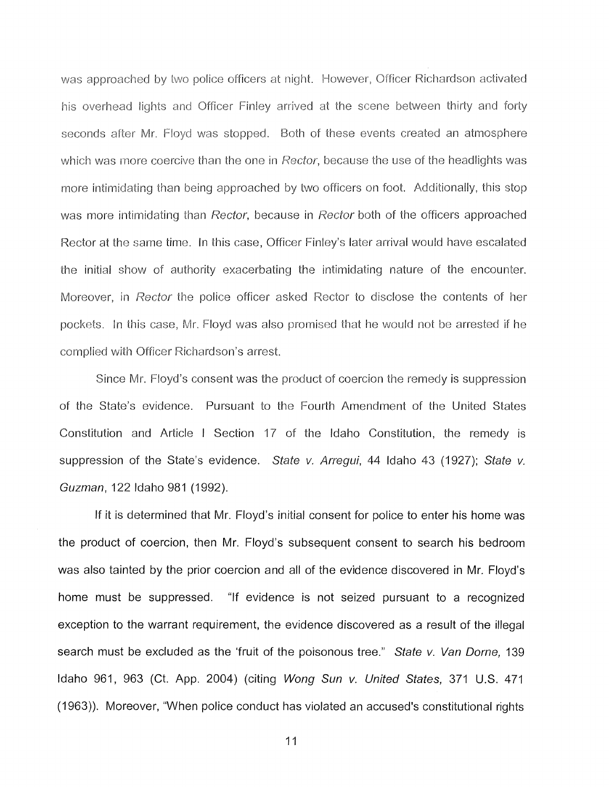was approached by two police officers at night. However, Officer Richardson activated his overhead lights and Officer Finley arrived at the scene between thirty and forty seconds after Mr. Floyd was stopped. Both of these events created an atmosphere which was more coercive than the one in Rector, because the use of the headlights was more intimidating than being approached by two officers on foot. Additionally, this stop was more intimidating than Rector, because in Rector both of the officers approached Rector at the same time. In this case, Officer Finley's later arrival would have escalated the initial show of authority exacerbating the intimidating nature of the encounter. Moreover, in Rector the police officer asked Rector to disclose the contents of her pockets. In this case, Mr. Floyd was also promised that he would not be arrested if he complied with Officer Richardson's arrest.

Since Mr. Floyd's consent was the product of coercion the remedy is suppression of the State's evidence. Pursuant to the Fourth Amendment of the United States Constitution and Article I Section 17 of the Idaho Constitution, the remedy is suppression of the State's evidence. State v. Arregui, 44 Idaho 43 (1927); State v. Guzman, 122 Idaho 981 (1992).

If it is determined that Mr. Floyd's initial consent for police to enter his home was the product of coercion, then Mr. Floyd's subsequent consent to search his bedroom was also tainted by the prior coercion and all of the evidence discovered in Mr. Floyd's home must be suppressed. "If evidence is not seized pursuant to a recognized exception to the warrant requirement, the evidence discovered as a result of the illegal search must be excluded as the 'fruit of the poisonous tree." State v. Van Dorne, 139 Idaho 961, 963 (Ct. App. 2004) (citing Wong Sun v. United States, 371 U.S. 471 (1963)). Moreover, "When police conduct has violated an accused's constitutional rights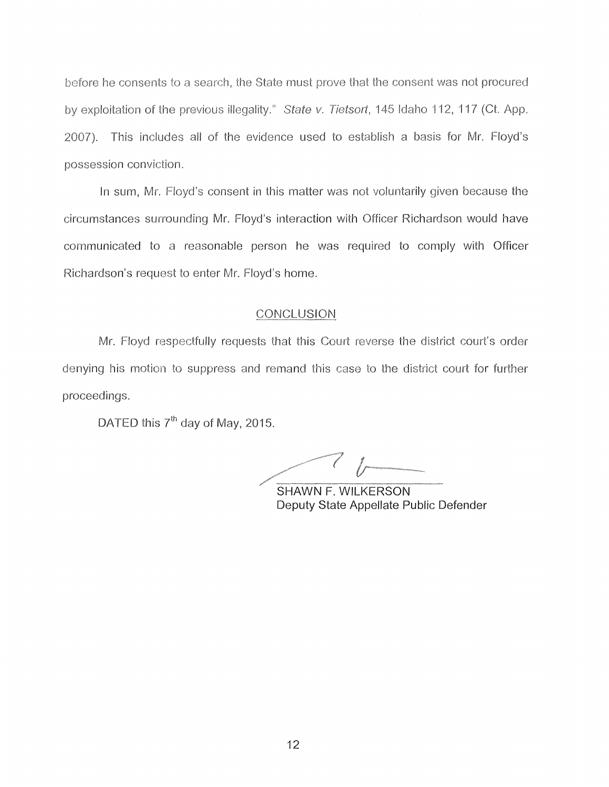before he consents to a search, the State must prove that the consent was not procured by exploitation of the previous illegality." State v. Tietsort, 145 Idaho 112, 117 (Ct. App. 2007). This includes all of the evidence used to establish a basis for Mr. Floyd's possession conviction.

In sum, Mr. Floyd's consent in this matter was not voluntarily given because the circumstances surrounding Mr. Floyd's interaction with Officer Richardson would have communicated to a reasonable person he was required to comply with Officer Richardson's request to enter Mr. Floyd's home.

#### **CONCLUSION**

Mr. Floyd respectfully requests that this Court reverse the district court's order denying his motion to suppress and remand this case to the district court for further proceedings.

DATED this  $7<sup>th</sup>$  day of May, 2015.

*/~/---7* (r- / --------- /\_· ------ SHAWN F. WILKERSON

Deputy State Appellate Public Defender